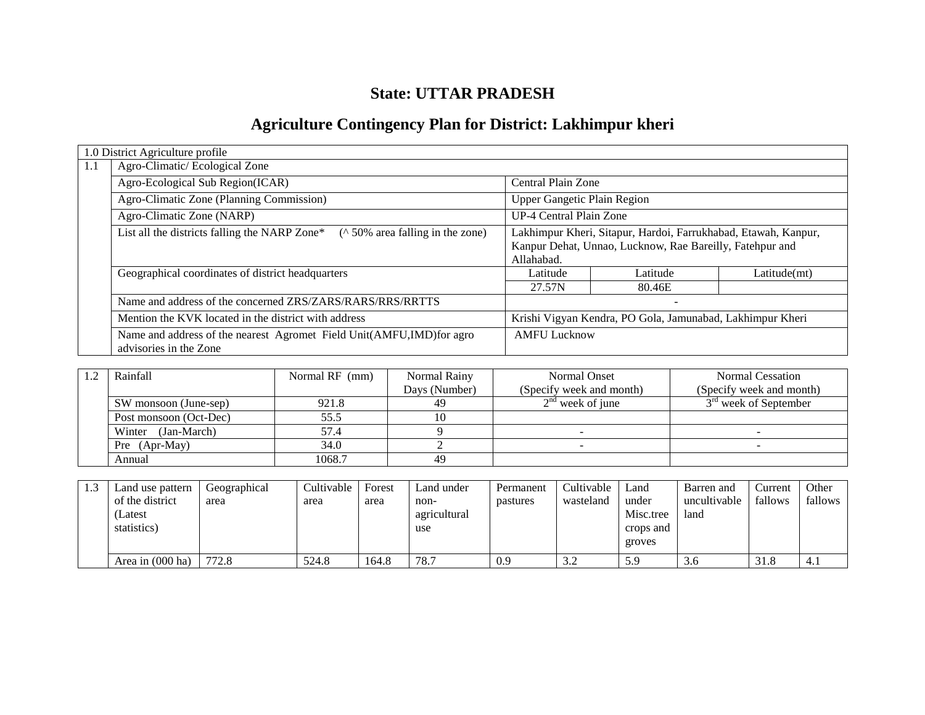# **State: UTTAR PRADESH**

# **Agriculture Contingency Plan for District: Lakhimpur kheri**

|     | 1.0 District Agriculture profile                                                                 |                                                                                                                            |          |              |  |
|-----|--------------------------------------------------------------------------------------------------|----------------------------------------------------------------------------------------------------------------------------|----------|--------------|--|
| 1.1 | Agro-Climatic/Ecological Zone                                                                    |                                                                                                                            |          |              |  |
|     | Agro-Ecological Sub Region(ICAR)                                                                 | Central Plain Zone                                                                                                         |          |              |  |
|     | Agro-Climatic Zone (Planning Commission)                                                         | <b>Upper Gangetic Plain Region</b>                                                                                         |          |              |  |
|     | Agro-Climatic Zone (NARP)                                                                        | <b>UP-4 Central Plain Zone</b>                                                                                             |          |              |  |
|     | List all the districts falling the NARP Zone*<br>$($ ^ 50% area falling in the zone)             | Lakhimpur Kheri, Sitapur, Hardoi, Farrukhabad, Etawah, Kanpur,<br>Kanpur Dehat, Unnao, Lucknow, Rae Bareilly, Fatehpur and |          |              |  |
|     |                                                                                                  | Allahabad.                                                                                                                 |          |              |  |
|     | Geographical coordinates of district headquarters                                                | Latitude                                                                                                                   | Latitude | Latitude(mt) |  |
|     |                                                                                                  | 27.57N                                                                                                                     | 80.46E   |              |  |
|     | Name and address of the concerned ZRS/ZARS/RARS/RRS/RRTTS                                        |                                                                                                                            |          |              |  |
|     | Mention the KVK located in the district with address                                             | Krishi Vigyan Kendra, PO Gola, Jamunabad, Lakhimpur Kheri                                                                  |          |              |  |
|     | Name and address of the nearest Agromet Field Unit(AMFU, IMD) for agro<br>advisories in the Zone | <b>AMFU Lucknow</b>                                                                                                        |          |              |  |

| Rainfall               | Normal RF (mm) | Normal Rainy  | <b>Normal Onset</b>      | Normal Cessation                  |
|------------------------|----------------|---------------|--------------------------|-----------------------------------|
|                        |                | Days (Number) | (Specify week and month) | (Specify week and month)          |
| SW monsoon (June-sep)  | 921.8          | 49            | $2nd$ week of june       | 3 <sup>rd</sup> week of September |
| Post monsoon (Oct-Dec) | 55.5           |               |                          |                                   |
| (Jan-March)<br>Winter  | 57.4           |               |                          |                                   |
| Pre (Apr-May)          | 34.0           |               |                          |                                   |
| Annual                 | 1068.7         | 49            |                          |                                   |

| Land use pattern<br>of the district | Geographical<br>area | Cultivable<br>area | Forest<br>area | Land under<br>non-  | Permanent<br>pastures | Cultivable<br>wasteland | Land<br>under                    | Barren and<br>uncultivable | Current<br>fallows | Other<br>fallows |
|-------------------------------------|----------------------|--------------------|----------------|---------------------|-----------------------|-------------------------|----------------------------------|----------------------------|--------------------|------------------|
| (Latest<br>statistics)              |                      |                    |                | agricultural<br>use |                       |                         | Misc.tree<br>crops and<br>groves | land                       |                    |                  |
| Area in $(000$ ha)                  | 772.8                | 524.8              | 164.8          | 78.7                | 0.9                   | 3.2                     | 5.9                              | 3.6                        | 31.8               | 4.1              |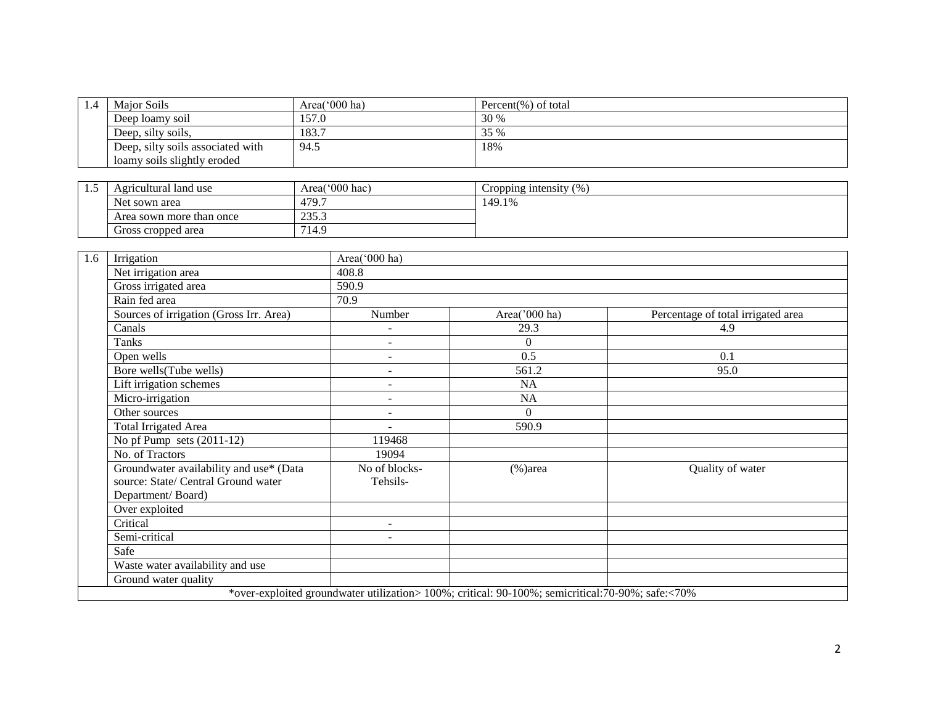| 1.4 | Maior Soils                       | Area( $000$ ha) | Percent(%) of total |  |  |  |
|-----|-----------------------------------|-----------------|---------------------|--|--|--|
|     | Deep loamy soil                   | 157.0           | 30 %                |  |  |  |
|     | 183.7<br>Deep, silty soils,       |                 | 35 %                |  |  |  |
|     | Deep, silty soils associated with | 94.5            | 18%                 |  |  |  |
|     | loamy soils slightly eroded       |                 |                     |  |  |  |

| ن | Agricultural land use                     | Area('000 hac) | $(9)_{0}$<br>Cropping intensity |
|---|-------------------------------------------|----------------|---------------------------------|
|   | Net sown area                             | 479.7          | 149.1%                          |
|   | 225<br>Area sown more than once<br>ر.ر.ر. |                |                                 |
|   | Gross cropped area<br>14.2                |                |                                 |

| Irrigation<br>1.6                                                                                   | Area('000 ha)                                                                                     |                  |                                    |
|-----------------------------------------------------------------------------------------------------|---------------------------------------------------------------------------------------------------|------------------|------------------------------------|
| Net irrigation area                                                                                 | 408.8                                                                                             |                  |                                    |
| Gross irrigated area                                                                                | 590.9                                                                                             |                  |                                    |
| Rain fed area                                                                                       | 70.9                                                                                              |                  |                                    |
| Sources of irrigation (Gross Irr. Area)                                                             | Number                                                                                            | Area('000 ha)    | Percentage of total irrigated area |
| Canals                                                                                              |                                                                                                   | 29.3             | 4.9                                |
| Tanks                                                                                               | $\overline{a}$                                                                                    | $\boldsymbol{0}$ |                                    |
| Open wells                                                                                          | $\overline{\phantom{a}}$                                                                          | 0.5              | 0.1                                |
| Bore wells(Tube wells)                                                                              | ÷,                                                                                                | 561.2            | 95.0                               |
| Lift irrigation schemes                                                                             | $\overline{a}$                                                                                    | NA               |                                    |
| Micro-irrigation                                                                                    | $\overline{a}$                                                                                    | NA               |                                    |
| Other sources                                                                                       | $\overline{\phantom{a}}$                                                                          | $\Omega$         |                                    |
| <b>Total Irrigated Area</b>                                                                         |                                                                                                   | 590.9            |                                    |
| No pf Pump sets $(2011-12)$                                                                         | 119468                                                                                            |                  |                                    |
| No. of Tractors                                                                                     | 19094                                                                                             |                  |                                    |
| Groundwater availability and use* (Data<br>source: State/ Central Ground water<br>Department/Board) | No of blocks-<br>Tehsils-                                                                         | $%$ )area        | Quality of water                   |
| Over exploited                                                                                      |                                                                                                   |                  |                                    |
| Critical                                                                                            | $\sim$                                                                                            |                  |                                    |
| Semi-critical                                                                                       | $\blacksquare$                                                                                    |                  |                                    |
| Safe                                                                                                |                                                                                                   |                  |                                    |
| Waste water availability and use                                                                    |                                                                                                   |                  |                                    |
| Ground water quality                                                                                |                                                                                                   |                  |                                    |
|                                                                                                     | *over-exploited groundwater utilization> 100%; critical: 90-100%; semicritical: 70-90%; safe:<70% |                  |                                    |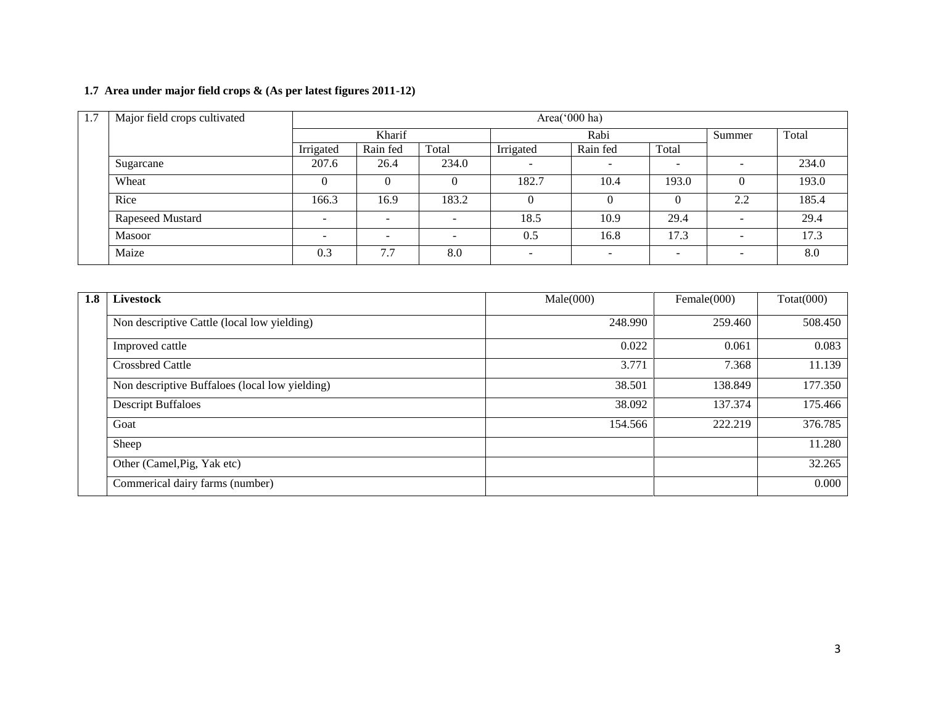## **1.7 Area under major field crops & (As per latest figures 2011-12)**

| 1.7 | Major field crops cultivated | Area('000 ha)                  |                          |                          |          |                          |                          |                          |       |  |
|-----|------------------------------|--------------------------------|--------------------------|--------------------------|----------|--------------------------|--------------------------|--------------------------|-------|--|
|     |                              | Kharif                         |                          |                          |          | Rabi                     | Summer                   | Total                    |       |  |
|     |                              | Total<br>Irrigated<br>Rain fed |                          | Irrigated                | Rain fed | Total                    |                          |                          |       |  |
|     | Sugarcane                    | 207.6                          | 26.4                     | 234.0                    |          | $\overline{\phantom{a}}$ | $\overline{\phantom{a}}$ | $\overline{\phantom{a}}$ | 234.0 |  |
|     | Wheat                        |                                |                          |                          | 182.7    | 10.4                     | 193.0                    |                          | 193.0 |  |
|     | Rice                         | 166.3                          | 16.9                     | 183.2                    | O        | $\Omega$                 |                          | 2.2                      | 185.4 |  |
|     | Rapeseed Mustard             | -                              | -                        | $\overline{\phantom{0}}$ | 18.5     | 10.9                     | 29.4                     | $\overline{\phantom{0}}$ | 29.4  |  |
|     | <b>Masoor</b>                |                                | $\overline{\phantom{0}}$ | $\overline{\phantom{a}}$ | 0.5      | 16.8                     | 17.3                     | $\overline{\phantom{0}}$ | 17.3  |  |
|     | Maize                        | 0.3                            | 7.7                      | 8.0                      | ۰        | $\overline{\phantom{a}}$ | $\overline{\phantom{0}}$ | $\overline{\phantom{0}}$ | 8.0   |  |

| 1.8 | <b>Livestock</b>                               | Male(000) | Female $(000)$ | Totat(000) |
|-----|------------------------------------------------|-----------|----------------|------------|
|     | Non descriptive Cattle (local low yielding)    | 248.990   | 259.460        | 508.450    |
|     | Improved cattle                                | 0.022     | 0.061          | 0.083      |
|     | <b>Crossbred Cattle</b>                        | 3.771     | 7.368          | 11.139     |
|     | Non descriptive Buffaloes (local low yielding) | 38.501    | 138.849        | 177.350    |
|     | <b>Descript Buffaloes</b>                      | 38.092    | 137.374        | 175.466    |
|     | Goat                                           | 154.566   | 222.219        | 376.785    |
|     | Sheep                                          |           |                | 11.280     |
|     | Other (Camel, Pig, Yak etc)                    |           |                | 32.265     |
|     | Commerical dairy farms (number)                |           |                | 0.000      |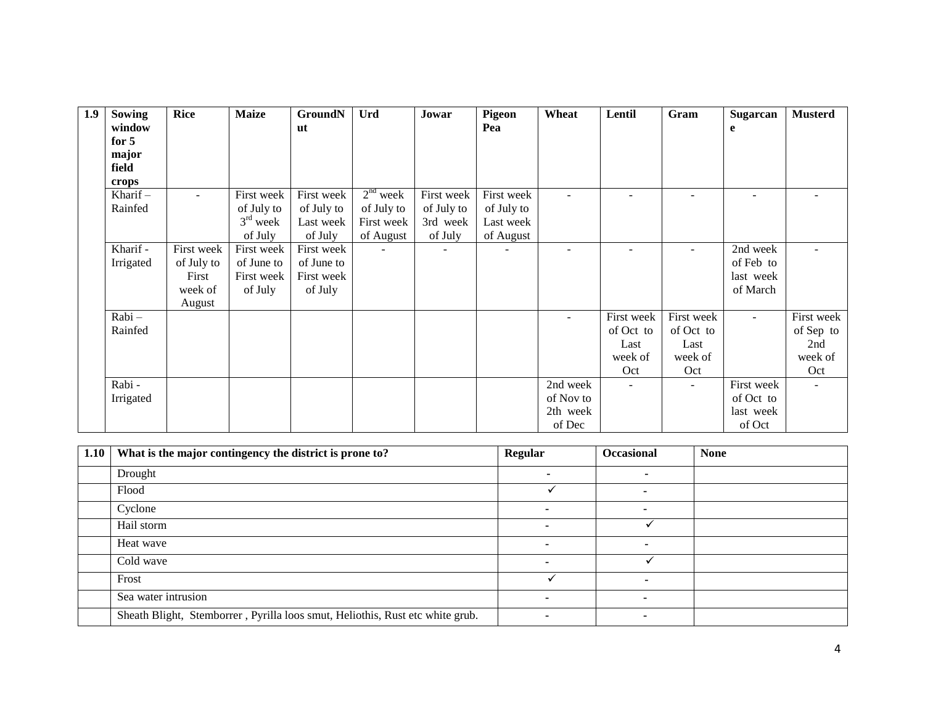| 1.9 | Sowing     | <b>Rice</b> | <b>Maize</b> | <b>GroundN</b> | Urd        | Jowar      | <b>Pigeon</b> | Wheat     | Lentil     | Gram       | Sugarcan   | <b>Musterd</b> |
|-----|------------|-------------|--------------|----------------|------------|------------|---------------|-----------|------------|------------|------------|----------------|
|     | window     |             |              | <b>ut</b>      |            |            | Pea           |           |            |            | e          |                |
|     | for $5$    |             |              |                |            |            |               |           |            |            |            |                |
|     | major      |             |              |                |            |            |               |           |            |            |            |                |
|     | field      |             |              |                |            |            |               |           |            |            |            |                |
|     | crops      |             |              |                |            |            |               |           |            |            |            |                |
|     | Kharif $-$ | $\sim$      | First week   | First week     | $2nd$ week | First week | First week    |           |            |            |            |                |
|     | Rainfed    |             | of July to   | of July to     | of July to | of July to | of July to    |           |            |            |            |                |
|     |            |             | $3rd$ week   | Last week      | First week | 3rd week   | Last week     |           |            |            |            |                |
|     |            |             | of July      | of July        | of August  | of July    | of August     |           |            |            |            |                |
|     | Kharif -   | First week  | First week   | First week     |            |            |               |           |            |            | 2nd week   |                |
|     | Irrigated  | of July to  | of June to   | of June to     |            |            |               |           |            |            | of Feb to  |                |
|     |            | First       | First week   | First week     |            |            |               |           |            |            | last week  |                |
|     |            | week of     | of July      | of July        |            |            |               |           |            |            | of March   |                |
|     |            | August      |              |                |            |            |               |           |            |            |            |                |
|     | Rabi-      |             |              |                |            |            |               |           | First week | First week | $\sim$     | First week     |
|     | Rainfed    |             |              |                |            |            |               |           | of Oct to  | of Oct to  |            | of Sep to      |
|     |            |             |              |                |            |            |               |           | Last       | Last       |            | 2nd            |
|     |            |             |              |                |            |            |               |           | week of    | week of    |            | week of        |
|     |            |             |              |                |            |            |               |           | Oct        | Oct        |            | Oct            |
|     | Rabi -     |             |              |                |            |            |               | 2nd week  |            |            | First week |                |
|     | Irrigated  |             |              |                |            |            |               | of Nov to |            |            | of Oct to  |                |
|     |            |             |              |                |            |            |               | 2th week  |            |            | last week  |                |
|     |            |             |              |                |            |            |               | of Dec    |            |            | of Oct     |                |

| 1.10 | What is the major contingency the district is prone to?                       | <b>Regular</b> | Occasional | <b>None</b> |
|------|-------------------------------------------------------------------------------|----------------|------------|-------------|
|      | Drought                                                                       |                |            |             |
|      | Flood                                                                         |                |            |             |
|      | Cyclone                                                                       |                |            |             |
|      | Hail storm                                                                    |                |            |             |
|      | Heat wave                                                                     |                |            |             |
|      | Cold wave                                                                     |                |            |             |
|      | Frost                                                                         |                |            |             |
|      | Sea water intrusion                                                           |                |            |             |
|      | Sheath Blight, Stemborrer, Pyrilla loos smut, Heliothis, Rust etc white grub. |                |            |             |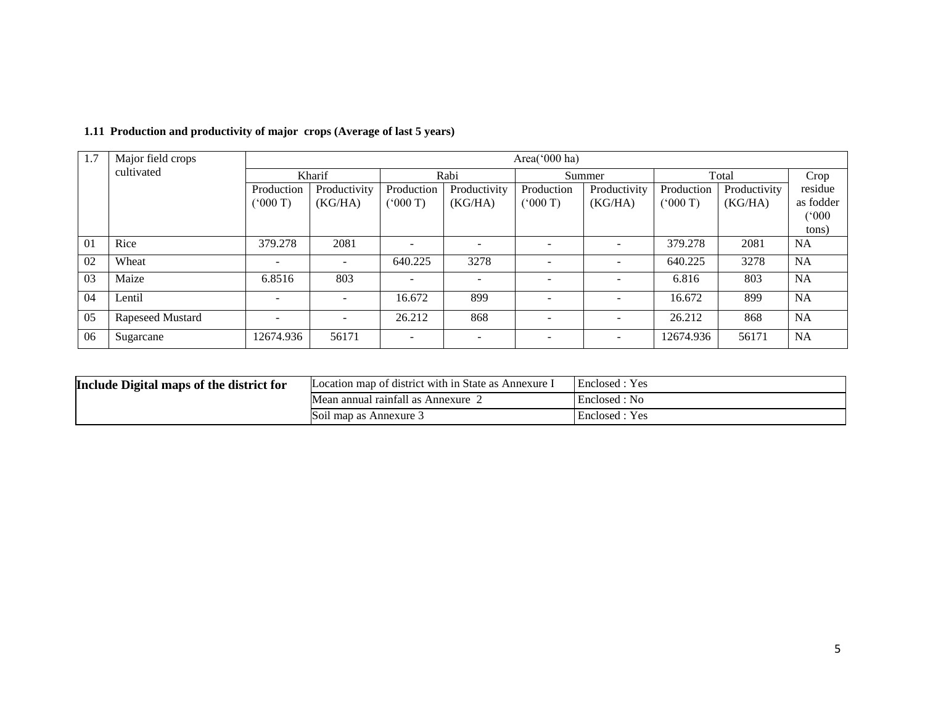| 1.7 | Major field crops |            | Area('000 ha)            |                |              |                          |              |            |              |           |  |
|-----|-------------------|------------|--------------------------|----------------|--------------|--------------------------|--------------|------------|--------------|-----------|--|
|     | cultivated        |            | Kharif                   |                | Rabi         |                          | Summer       |            | Total        |           |  |
|     |                   | Production | Productivity             | Production     | Productivity | Production               | Productivity | Production | Productivity | residue   |  |
|     |                   | (000 T)    | (KG/HA)                  | (5000T)        | (KG/HA)      | (000 T)                  | (KG/HA)      | (5000)     | (KG/HA)      | as fodder |  |
|     |                   |            |                          |                |              |                          |              |            |              | (000)     |  |
|     |                   |            |                          |                |              |                          |              |            |              | tons)     |  |
| 01  | Rice              | 379.278    | 2081                     | $\overline{a}$ |              |                          |              | 379.278    | 2081         | <b>NA</b> |  |
| 02  | Wheat             | ۰          | $\overline{\phantom{a}}$ | 640.225        | 3278         | $\overline{\phantom{a}}$ |              | 640.225    | 3278         | <b>NA</b> |  |
| 03  | Maize             | 6.8516     | 803                      |                | -            |                          |              | 6.816      | 803          | <b>NA</b> |  |
| 04  | Lentil            | ۰          |                          | 16.672         | 899          |                          |              | 16.672     | 899          | <b>NA</b> |  |
| 05  | Rapeseed Mustard  | -          |                          | 26.212         | 868          |                          |              | 26.212     | 868          | <b>NA</b> |  |
| 06  | Sugarcane         | 12674.936  | 56171                    | $\overline{a}$ |              |                          |              | 12674.936  | 56171        | <b>NA</b> |  |

## **1.11 Production and productivity of major crops (Average of last 5 years)**

| Include Digital maps of the district for | Location map of district with in State as Annexure. | Enclosed : Yes |
|------------------------------------------|-----------------------------------------------------|----------------|
|                                          | Mean annual rainfall as Annexure                    | Enclosed: No   |
|                                          | 1 map as Annexure 3<br>S011                         | Enclosed : Yes |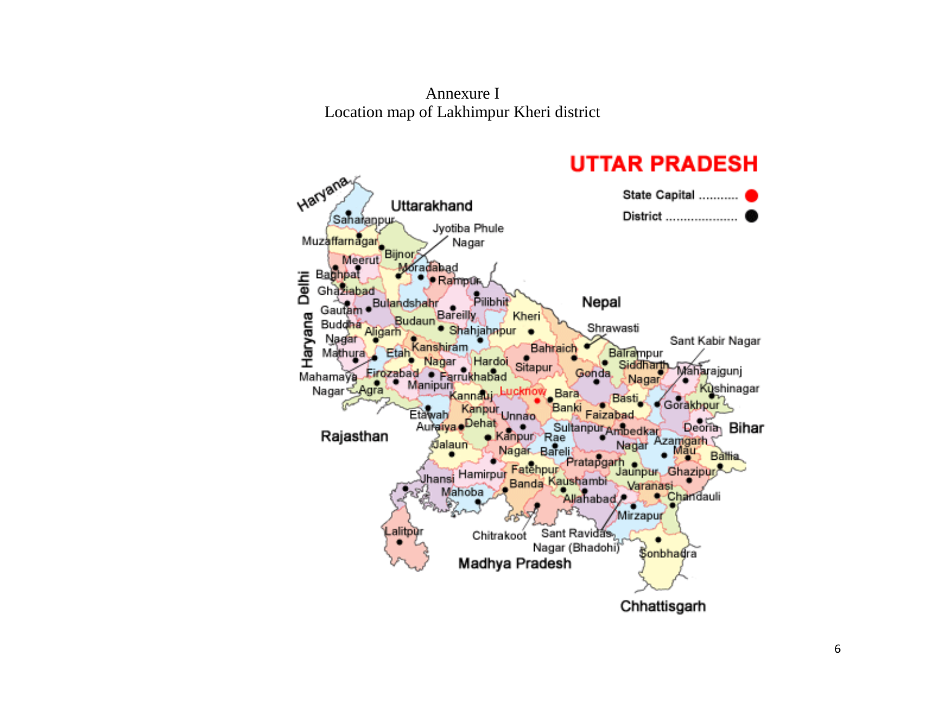Annexure I Location map of Lakhimpur Kheri district

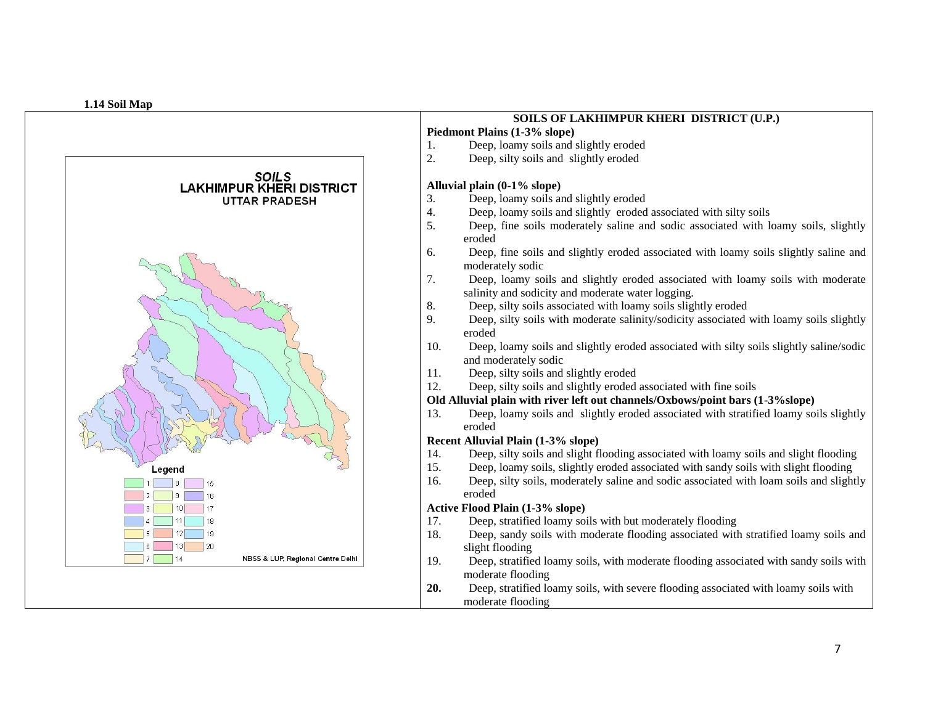

# **SOILS OF LAKHIMPUR KHERI DISTRICT (U.P.)**

**Piedmont Plains (1 -3% slope)**  1. Deep, loamy soils and slightly eroded

2. Deep, silty soils and slightly eroded

#### **Alluvial plain (0 -1% slope)**

- 3. Deep, loamy soils and slightly eroded
- 4. Deep, loamy soils and slightly eroded associated with silty soils
- 5. Deep, fine soils moderately saline and sodic associated with loamy soils, slightly eroded
- 6. Deep, fine soils and slightly eroded associated with loamy soils slightly saline and moderately sodic
- 7. Deep, loamy soils and slightly eroded associated with loamy soils with moderate salinity and sodicity and moderate water logging.
- 8. Deep, silty soils associated with loamy soils slightly eroded
- 9. Deep, silty soils with moderate salinity/sodicity associated with loamy soils slightly eroded
- 10. Deep, loamy soils and slightly eroded associated with silty soils slightly saline/sodic and moderately sodic
- 11. Deep, silty soils and slightly eroded
- 12. Deep, silty soils and slightly eroded associated with fine soils

#### **Old Alluvial plain with river left out channels/Oxbows/point bars (1 -3%slope)**

13. Deep, loamy soils and slightly eroded associated with stratified loamy soils slightly eroded

#### **Recent Alluvial Plain (1 -3% slope)**

- 14. Deep, silty soils and slight flooding associated with loamy soils and slight flooding
- 15. Deep, loamy soils, slightly eroded associated with sandy soils with slight flooding
- 16. Deep, silty soils, moderately saline and sodic associated with loam soils and slightly eroded

#### **Active Flood Plain (1 -3% slope)**

- 17. Deep, stratified loamy soils with but moderately flooding
- 18. Deep, sandy soils with moderate flooding associated with stratified loamy soils and slight flooding
- 19. Deep, stratified loamy soils, with moderate flooding associated with sandy soils with moderate flooding
- **20.** Deep, stratified loamy soils, with severe flooding associated with loamy soils with moderate flooding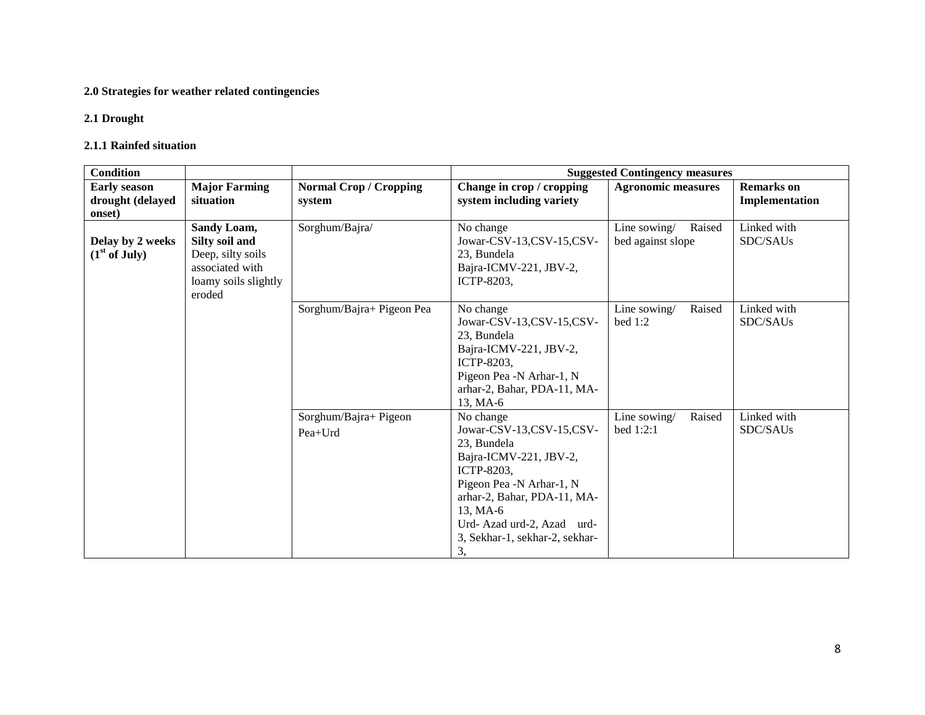# **2.0 Strategies for weather related contingencies**

#### **2.1 Drought**

#### **2.1.1 Rainfed situation**

| <b>Condition</b>                                  |                                                                                                         |                                         | <b>Suggested Contingency measures</b>                                                                                                                                                                                                           |                                             |                                     |  |
|---------------------------------------------------|---------------------------------------------------------------------------------------------------------|-----------------------------------------|-------------------------------------------------------------------------------------------------------------------------------------------------------------------------------------------------------------------------------------------------|---------------------------------------------|-------------------------------------|--|
| <b>Early season</b><br>drought (delayed<br>onset) | <b>Major Farming</b><br>situation                                                                       | <b>Normal Crop / Cropping</b><br>system | Change in crop / cropping<br>system including variety                                                                                                                                                                                           | <b>Agronomic measures</b>                   | <b>Remarks</b> on<br>Implementation |  |
| Delay by 2 weeks<br>$(1st$ of July)               | Sandy Loam,<br>Silty soil and<br>Deep, silty soils<br>associated with<br>loamy soils slightly<br>eroded | Sorghum/Bajra/                          | No change<br>Jowar-CSV-13,CSV-15,CSV-<br>23, Bundela<br>Bajra-ICMV-221, JBV-2,<br><b>ICTP-8203.</b>                                                                                                                                             | Line sowing/<br>Raised<br>bed against slope | Linked with<br>SDC/SAUs             |  |
|                                                   |                                                                                                         | Sorghum/Bajra+ Pigeon Pea               | No change<br>Jowar-CSV-13,CSV-15,CSV-<br>23, Bundela<br>Bajra-ICMV-221, JBV-2,<br>ICTP-8203,<br>Pigeon Pea -N Arhar-1, N<br>arhar-2, Bahar, PDA-11, MA-<br>13, MA-6                                                                             | Line sowing/<br>Raised<br>bed $1:2$         | Linked with<br>SDC/SAUs             |  |
|                                                   |                                                                                                         | Sorghum/Bajra+ Pigeon<br>$Pea+Urd$      | No change<br>Jowar-CSV-13,CSV-15,CSV-<br>23, Bundela<br>Bajra-ICMV-221, JBV-2,<br><b>ICTP-8203.</b><br>Pigeon Pea -N Arhar-1, N<br>arhar-2, Bahar, PDA-11, MA-<br>13, MA-6<br>Urd-Azad urd-2, Azad urd-<br>3, Sekhar-1, sekhar-2, sekhar-<br>3, | Raised<br>Line sowing/<br>bed $1:2:1$       | Linked with<br>SDC/SAUs             |  |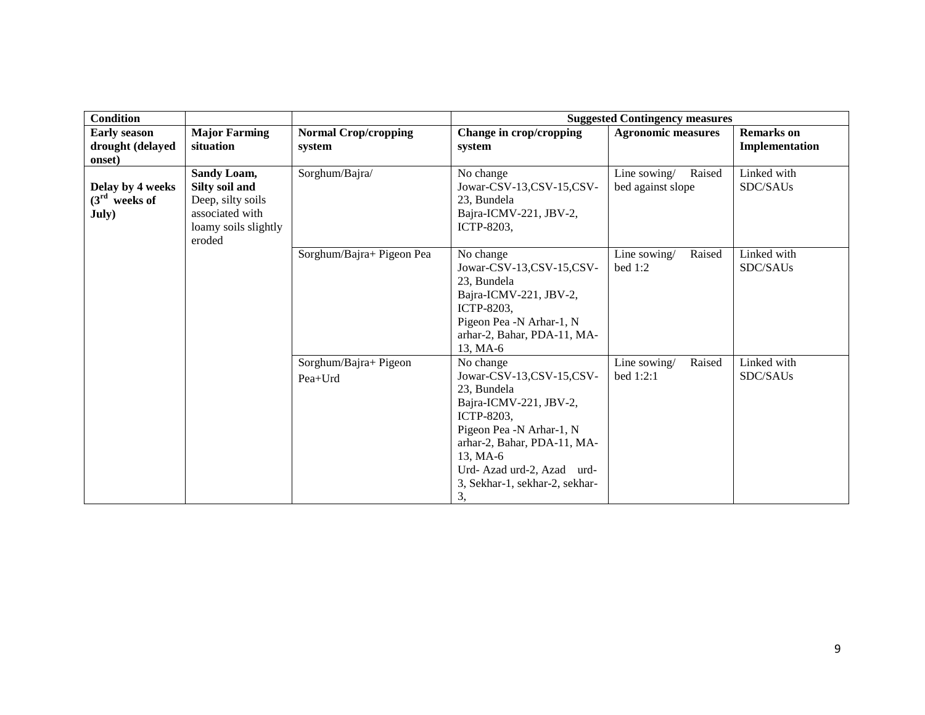| <b>Condition</b>                                  |                                                                                                         |                                       |                                                                                                                                                                                                                                          | <b>Suggested Contingency measures</b>       |                                     |
|---------------------------------------------------|---------------------------------------------------------------------------------------------------------|---------------------------------------|------------------------------------------------------------------------------------------------------------------------------------------------------------------------------------------------------------------------------------------|---------------------------------------------|-------------------------------------|
| <b>Early season</b><br>drought (delayed<br>onset) | <b>Major Farming</b><br>situation                                                                       | <b>Normal Crop/cropping</b><br>system | Change in crop/cropping<br>system                                                                                                                                                                                                        | <b>Agronomic measures</b>                   | <b>Remarks</b> on<br>Implementation |
| Delay by 4 weeks<br>$(3rd$ weeks of<br>July)      | Sandy Loam,<br>Silty soil and<br>Deep, silty soils<br>associated with<br>loamy soils slightly<br>eroded | Sorghum/Bajra/                        | No change<br>Jowar-CSV-13,CSV-15,CSV-<br>23, Bundela<br>Bajra-ICMV-221, JBV-2,<br>ICTP-8203,                                                                                                                                             | Line sowing/<br>Raised<br>bed against slope | Linked with<br>SDC/SAUs             |
|                                                   |                                                                                                         | Sorghum/Bajra+ Pigeon Pea             | No change<br>Jowar-CSV-13,CSV-15,CSV-<br>23, Bundela<br>Bajra-ICMV-221, JBV-2,<br>ICTP-8203,<br>Pigeon Pea -N Arhar-1, N<br>arhar-2, Bahar, PDA-11, MA-<br>13, MA-6                                                                      | Line sowing/<br>Raised<br>bed 1:2           | Linked with<br>SDC/SAUs             |
|                                                   |                                                                                                         | Sorghum/Bajra+ Pigeon<br>Pea+Urd      | No change<br>Jowar-CSV-13,CSV-15,CSV-<br>23. Bundela<br>Bajra-ICMV-221, JBV-2,<br>ICTP-8203,<br>Pigeon Pea -N Arhar-1, N<br>arhar-2, Bahar, PDA-11, MA-<br>13, MA-6<br>Urd-Azad urd-2, Azad urd-<br>3, Sekhar-1, sekhar-2, sekhar-<br>3, | Raised<br>Line sowing/<br>bed $1:2:1$       | Linked with<br>SDC/SAUs             |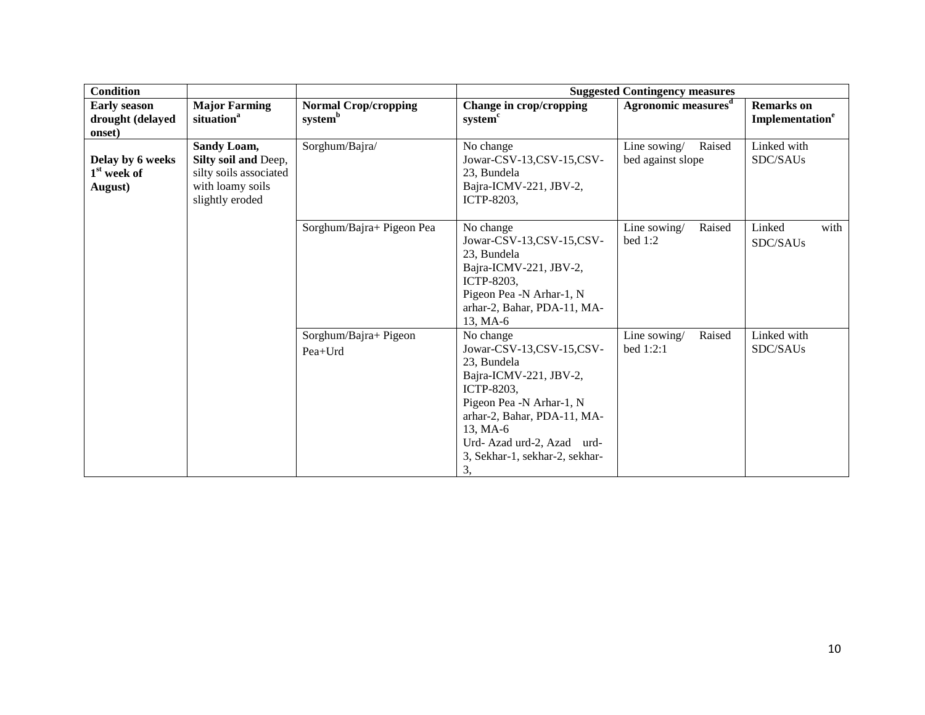| <b>Condition</b>                                       |                                                                                                      |                                                    |                                                                                                                                                                                                                                          | <b>Suggested Contingency measures</b>       |                                                  |
|--------------------------------------------------------|------------------------------------------------------------------------------------------------------|----------------------------------------------------|------------------------------------------------------------------------------------------------------------------------------------------------------------------------------------------------------------------------------------------|---------------------------------------------|--------------------------------------------------|
| <b>Early season</b><br>drought (delayed<br>onset)      | <b>Major Farming</b><br>situation <sup>a</sup>                                                       | <b>Normal Crop/cropping</b><br>system <sup>b</sup> | Change in crop/cropping<br>system <sup>c</sup>                                                                                                                                                                                           | Agronomic measures <sup>d</sup>             | <b>Remarks</b> on<br>Implementation <sup>e</sup> |
| Delay by 6 weeks<br>1 <sup>st</sup> week of<br>August) | Sandy Loam,<br>Silty soil and Deep,<br>silty soils associated<br>with loamy soils<br>slightly eroded | Sorghum/Bajra/                                     | No change<br>Jowar-CSV-13,CSV-15,CSV-<br>23, Bundela<br>Bajra-ICMV-221, JBV-2,<br>ICTP-8203,                                                                                                                                             | Line sowing/<br>Raised<br>bed against slope | Linked with<br>SDC/SAUs                          |
|                                                        |                                                                                                      | Sorghum/Bajra+ Pigeon Pea                          | No change<br>Jowar-CSV-13,CSV-15,CSV-<br>23, Bundela<br>Bajra-ICMV-221, JBV-2,<br>ICTP-8203,<br>Pigeon Pea -N Arhar-1, N<br>arhar-2, Bahar, PDA-11, MA-<br>13, MA-6                                                                      | Line sowing/<br>Raised<br>bed 1:2           | Linked<br>with<br>SDC/SAUs                       |
|                                                        |                                                                                                      | Sorghum/Bajra+ Pigeon<br>Pea+Urd                   | No change<br>Jowar-CSV-13,CSV-15,CSV-<br>23, Bundela<br>Bajra-ICMV-221, JBV-2,<br>ICTP-8203,<br>Pigeon Pea -N Arhar-1, N<br>arhar-2, Bahar, PDA-11, MA-<br>13, MA-6<br>Urd-Azad urd-2, Azad urd-<br>3, Sekhar-1, sekhar-2, sekhar-<br>3, | Raised<br>Line sowing/<br>bed 1:2:1         | Linked with<br>SDC/SAUs                          |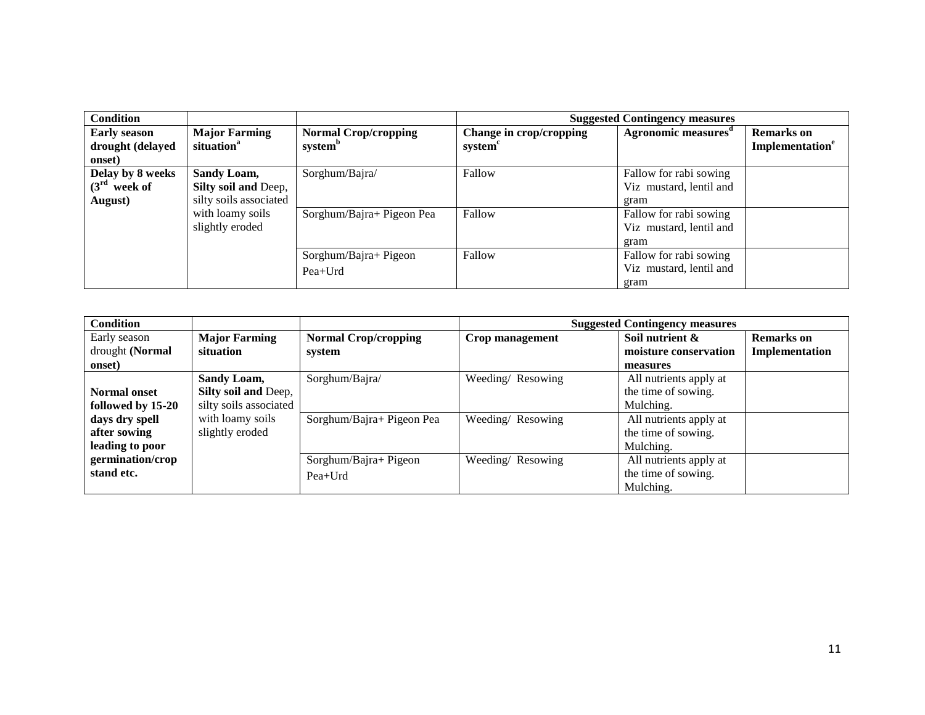| <b>Condition</b>                                                    |                                                                    |                                                    |                                                | <b>Suggested Contingency measures</b>                                               |                                                  |
|---------------------------------------------------------------------|--------------------------------------------------------------------|----------------------------------------------------|------------------------------------------------|-------------------------------------------------------------------------------------|--------------------------------------------------|
| <b>Early season</b><br>drought (delayed                             | <b>Major Farming</b><br>situation <sup>a</sup>                     | <b>Normal Crop/cropping</b><br>system <sup>b</sup> | Change in crop/cropping<br>system <sup>c</sup> | Agronomic measures <sup>d</sup>                                                     | <b>Remarks</b> on<br>Implementation <sup>e</sup> |
| onset)                                                              |                                                                    |                                                    |                                                |                                                                                     |                                                  |
| Delay by 8 weeks<br><b>Sandy Loam,</b><br>$(3rd$ week of<br>August) | Silty soil and Deep,<br>silty soils associated<br>with loamy soils | Sorghum/Bajra/<br>Sorghum/Bajra+ Pigeon Pea        | Fallow<br>Fallow                               | Fallow for rabi sowing<br>Viz mustard, lentil and<br>gram<br>Fallow for rabi sowing |                                                  |
| slightly eroded                                                     |                                                                    |                                                    |                                                | Viz mustard, lentil and<br>gram                                                     |                                                  |
|                                                                     |                                                                    | Sorghum/Bajra+ Pigeon                              | Fallow                                         | Fallow for rabi sowing                                                              |                                                  |
|                                                                     |                                                                    | $Pea+Urd$                                          |                                                | Viz mustard, lentil and                                                             |                                                  |
|                                                                     |                                                                    |                                                    |                                                | gram                                                                                |                                                  |

| <b>Condition</b>    |                        |                             |                  | <b>Suggested Contingency measures</b> |                   |
|---------------------|------------------------|-----------------------------|------------------|---------------------------------------|-------------------|
| Early season        | <b>Major Farming</b>   | <b>Normal Crop/cropping</b> | Crop management  | Soil nutrient &                       | <b>Remarks</b> on |
| drought (Normal     | situation              | system                      |                  | moisture conservation                 | Implementation    |
| onset)              |                        |                             |                  | measures                              |                   |
|                     | Sandy Loam,            | Sorghum/Bajra/              | Weeding/Resowing | All nutrients apply at                |                   |
| <b>Normal</b> onset | Silty soil and Deep,   |                             |                  | the time of sowing.                   |                   |
| followed by 15-20   | silty soils associated |                             |                  | Mulching.                             |                   |
| days dry spell      | with loamy soils       | Sorghum/Bajra+ Pigeon Pea   | Weeding/Resowing | All nutrients apply at                |                   |
| after sowing        | slightly eroded        |                             |                  | the time of sowing.                   |                   |
| leading to poor     |                        |                             |                  | Mulching.                             |                   |
| germination/crop    |                        | Sorghum/Bajra+ Pigeon       | Weeding/Resowing | All nutrients apply at                |                   |
| stand etc.          |                        | $Pea+Urd$                   |                  | the time of sowing.                   |                   |
|                     |                        |                             |                  | Mulching.                             |                   |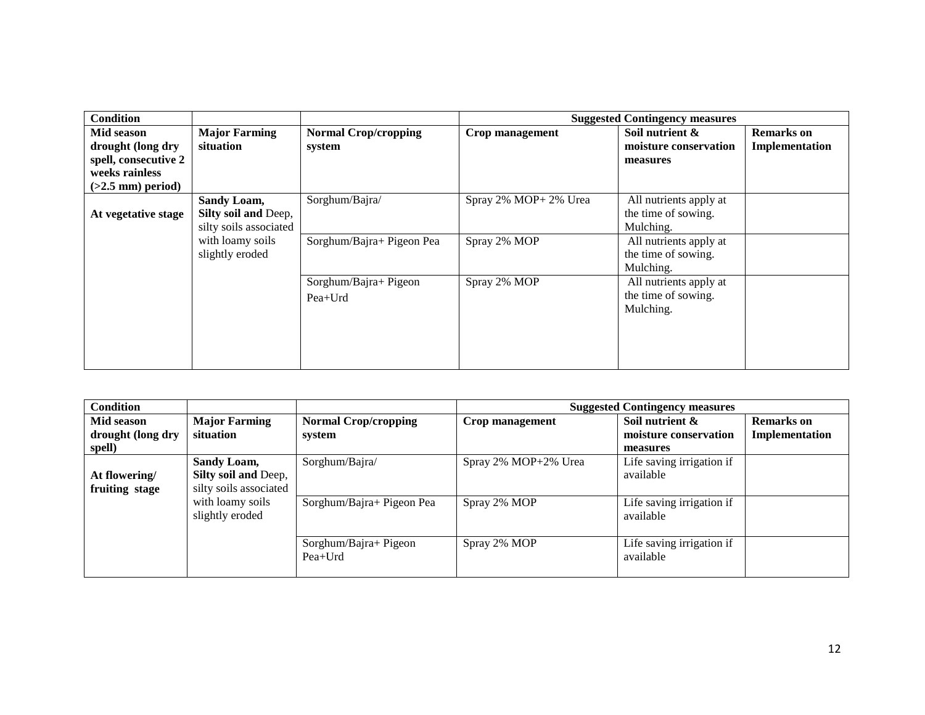| <b>Condition</b>     |                        |                             |                       | <b>Suggested Contingency measures</b> |                   |
|----------------------|------------------------|-----------------------------|-----------------------|---------------------------------------|-------------------|
| Mid season           | <b>Major Farming</b>   | <b>Normal Crop/cropping</b> | Crop management       | Soil nutrient &                       | <b>Remarks</b> on |
| drought (long dry    | situation              | system                      |                       | moisture conservation                 | Implementation    |
| spell, consecutive 2 |                        |                             |                       | measures                              |                   |
| weeks rainless       |                        |                             |                       |                                       |                   |
| $(>2.5$ mm) period)  |                        |                             |                       |                                       |                   |
|                      | Sandy Loam,            | Sorghum/Bajra/              | Spray 2% MOP+ 2% Urea | All nutrients apply at                |                   |
| At vegetative stage  | Silty soil and Deep,   |                             |                       | the time of sowing.                   |                   |
|                      | silty soils associated |                             |                       | Mulching.                             |                   |
|                      | with loamy soils       | Sorghum/Bajra+ Pigeon Pea   | Spray 2% MOP          | All nutrients apply at                |                   |
|                      | slightly eroded        |                             |                       | the time of sowing.                   |                   |
|                      |                        |                             |                       | Mulching.                             |                   |
|                      |                        | Sorghum/Bajra+ Pigeon       | Spray 2% MOP          | All nutrients apply at                |                   |
|                      |                        | $Pea+Urd$                   |                       | the time of sowing.                   |                   |
|                      |                        |                             |                       | Mulching.                             |                   |
|                      |                        |                             |                       |                                       |                   |
|                      |                        |                             |                       |                                       |                   |
|                      |                        |                             |                       |                                       |                   |
|                      |                        |                             |                       |                                       |                   |

| <b>Condition</b>  |                        |                             |                      | <b>Suggested Contingency measures</b> |                   |
|-------------------|------------------------|-----------------------------|----------------------|---------------------------------------|-------------------|
| Mid season        | <b>Major Farming</b>   | <b>Normal Crop/cropping</b> | Crop management      | Soil nutrient &                       | <b>Remarks</b> on |
| drought (long dry | situation              | system                      |                      | moisture conservation                 | Implementation    |
| spell)            |                        |                             |                      | measures                              |                   |
|                   | Sandy Loam,            | Sorghum/Bajra/              | Spray 2% MOP+2% Urea | Life saving irrigation if             |                   |
| At flowering/     | Silty soil and Deep,   |                             |                      | available                             |                   |
| fruiting stage    | silty soils associated |                             |                      |                                       |                   |
|                   | with loamy soils       | Sorghum/Bajra+ Pigeon Pea   | Spray 2% MOP         | Life saving irrigation if             |                   |
|                   | slightly eroded        |                             |                      | available                             |                   |
|                   |                        |                             |                      |                                       |                   |
|                   |                        | Sorghum/Bajra+ Pigeon       | Spray 2% MOP         | Life saving irrigation if             |                   |
|                   |                        | $Pea+Urd$                   |                      | available                             |                   |
|                   |                        |                             |                      |                                       |                   |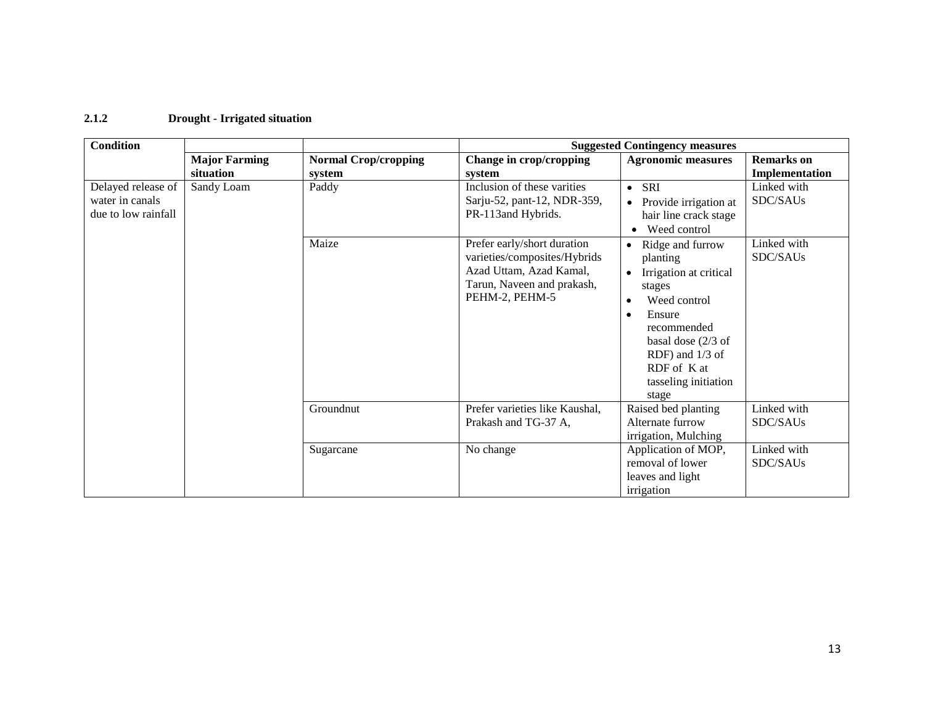#### **2.1.2 Drought - Irrigated situation**

| <b>Condition</b>                                             |                      |                             | <b>Suggested Contingency measures</b>                                                                                                  |                                                                                                                                                                                                                                             |                         |  |
|--------------------------------------------------------------|----------------------|-----------------------------|----------------------------------------------------------------------------------------------------------------------------------------|---------------------------------------------------------------------------------------------------------------------------------------------------------------------------------------------------------------------------------------------|-------------------------|--|
|                                                              | <b>Major Farming</b> | <b>Normal Crop/cropping</b> | Change in crop/cropping                                                                                                                | <b>Agronomic measures</b>                                                                                                                                                                                                                   | <b>Remarks</b> on       |  |
|                                                              | situation            | system                      | system                                                                                                                                 |                                                                                                                                                                                                                                             | Implementation          |  |
| Delayed release of<br>water in canals<br>due to low rainfall | Sandy Loam           | Paddy                       | Inclusion of these varities<br>Sarju-52, pant-12, NDR-359,<br>PR-113 and Hybrids.                                                      | $\bullet$ SRI<br>Provide irrigation at<br>$\bullet$<br>hair line crack stage<br>Weed control                                                                                                                                                | Linked with<br>SDC/SAUs |  |
|                                                              |                      | Maize                       | Prefer early/short duration<br>varieties/composites/Hybrids<br>Azad Uttam, Azad Kamal,<br>Tarun, Naveen and prakash,<br>PEHM-2, PEHM-5 | Ridge and furrow<br>$\bullet$<br>planting<br>Irrigation at critical<br>$\bullet$<br>stages<br>Weed control<br>Ensure<br>$\bullet$<br>recommended<br>basal dose $(2/3$ of<br>RDF) and 1/3 of<br>RDF of K at<br>tasseling initiation<br>stage | Linked with<br>SDC/SAUs |  |
|                                                              |                      | Groundnut                   | Prefer varieties like Kaushal,<br>Prakash and TG-37 A,                                                                                 | Raised bed planting<br>Alternate furrow<br>irrigation, Mulching                                                                                                                                                                             | Linked with<br>SDC/SAUs |  |
|                                                              |                      | Sugarcane                   | No change                                                                                                                              | Application of MOP,<br>removal of lower<br>leaves and light<br>irrigation                                                                                                                                                                   | Linked with<br>SDC/SAUs |  |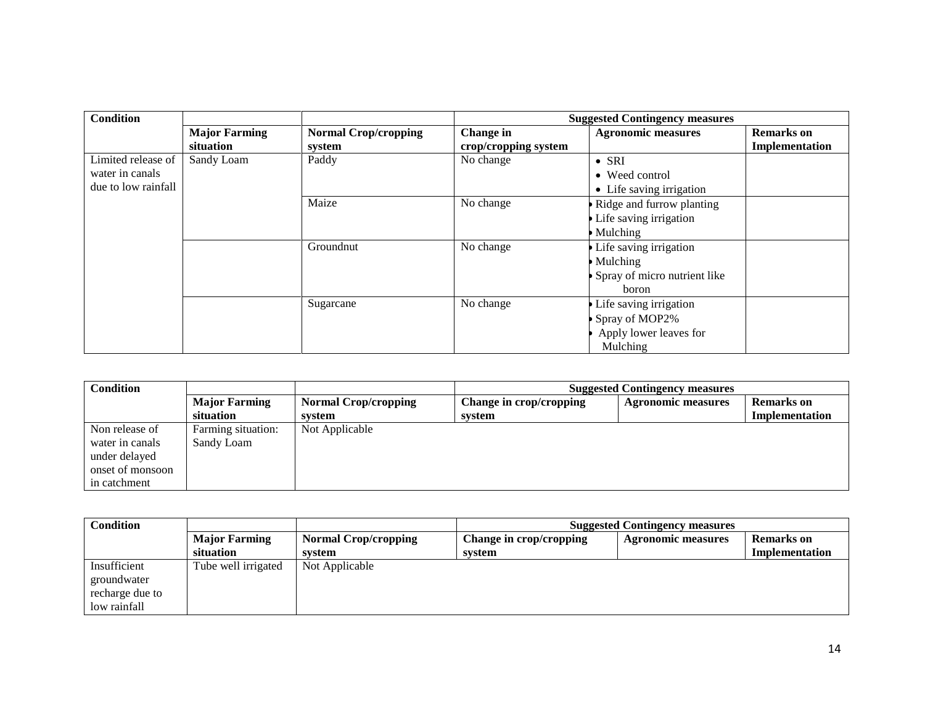| <b>Condition</b>    |                      |                             | <b>Suggested Contingency measures</b> |                              |                   |
|---------------------|----------------------|-----------------------------|---------------------------------------|------------------------------|-------------------|
|                     | <b>Major Farming</b> | <b>Normal Crop/cropping</b> | Change in                             | <b>Agronomic measures</b>    | <b>Remarks</b> on |
|                     | situation            | system                      | crop/cropping system                  |                              | Implementation    |
| Limited release of  | Sandy Loam           | Paddy                       | No change                             | $\bullet$ SRI                |                   |
| water in canals     |                      |                             |                                       | • Weed control               |                   |
| due to low rainfall |                      |                             |                                       | • Life saving irrigation     |                   |
|                     |                      | Maize                       | No change                             | Ridge and furrow planting    |                   |
|                     |                      |                             |                                       | Life saving irrigation       |                   |
|                     |                      |                             |                                       | Mulching                     |                   |
|                     |                      | Groundnut                   | No change                             | Life saving irrigation       |                   |
|                     |                      |                             |                                       | <b>Mulching</b>              |                   |
|                     |                      |                             |                                       | Spray of micro nutrient like |                   |
|                     |                      |                             |                                       | boron                        |                   |
|                     |                      | Sugarcane                   | No change                             | Life saving irrigation       |                   |
|                     |                      |                             |                                       | Spray of MOP2%               |                   |
|                     |                      |                             |                                       | Apply lower leaves for       |                   |
|                     |                      |                             |                                       | Mulching                     |                   |

| <b>Condition</b> |                      |                             | <b>Suggested Contingency measures</b> |                           |                |
|------------------|----------------------|-----------------------------|---------------------------------------|---------------------------|----------------|
|                  | <b>Major Farming</b> | <b>Normal Crop/cropping</b> | Change in crop/cropping               | <b>Agronomic measures</b> | Remarks on     |
|                  | situation            | system                      | system                                |                           | Implementation |
| Non release of   | Farming situation:   | Not Applicable              |                                       |                           |                |
| water in canals  | Sandy Loam           |                             |                                       |                           |                |
| under delayed    |                      |                             |                                       |                           |                |
| onset of monsoon |                      |                             |                                       |                           |                |
| in catchment     |                      |                             |                                       |                           |                |

| Condition       |                      | <b>Suggested Contingency measures</b> |                         |                           |                       |
|-----------------|----------------------|---------------------------------------|-------------------------|---------------------------|-----------------------|
|                 | <b>Major Farming</b> | <b>Normal Crop/cropping</b>           | Change in crop/cropping | <b>Agronomic measures</b> | <b>Remarks</b> on     |
|                 | situation            | svstem                                | system                  |                           | <b>Implementation</b> |
| Insufficient    | Tube well irrigated  | Not Applicable                        |                         |                           |                       |
| groundwater     |                      |                                       |                         |                           |                       |
| recharge due to |                      |                                       |                         |                           |                       |
| low rainfall    |                      |                                       |                         |                           |                       |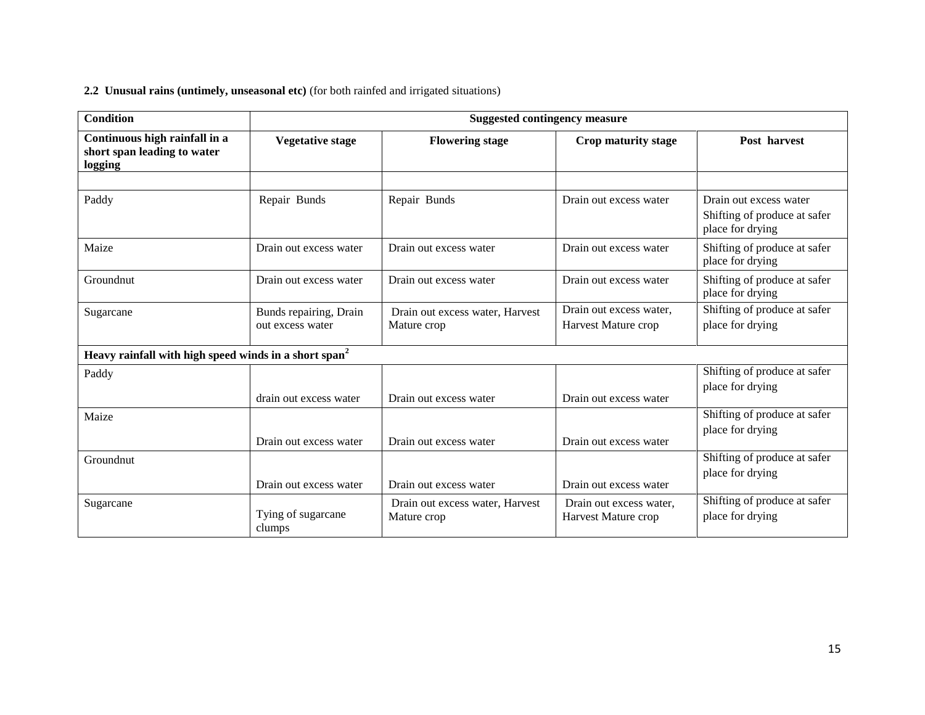#### **2.2 Unusual rains (untimely, unseasonal etc)** (for both rainfed and irrigated situations)

| <b>Condition</b><br><b>Suggested contingency measure</b>                |                                            |                                                |                                                |                                                                            |  |
|-------------------------------------------------------------------------|--------------------------------------------|------------------------------------------------|------------------------------------------------|----------------------------------------------------------------------------|--|
| Continuous high rainfall in a<br>short span leading to water<br>logging | <b>Vegetative stage</b>                    | <b>Flowering stage</b>                         | Crop maturity stage                            | Post harvest                                                               |  |
| Paddy                                                                   | Repair Bunds                               | Repair Bunds                                   | Drain out excess water                         | Drain out excess water<br>Shifting of produce at safer<br>place for drying |  |
| Maize                                                                   | Drain out excess water                     | Drain out excess water                         | Drain out excess water                         | Shifting of produce at safer<br>place for drying                           |  |
| Groundnut                                                               | Drain out excess water                     | Drain out excess water                         | Drain out excess water                         | Shifting of produce at safer<br>place for drying                           |  |
| Sugarcane                                                               | Bunds repairing, Drain<br>out excess water | Drain out excess water, Harvest<br>Mature crop | Drain out excess water,<br>Harvest Mature crop | Shifting of produce at safer<br>place for drying                           |  |
| Heavy rainfall with high speed winds in a short span <sup>2</sup>       |                                            |                                                |                                                |                                                                            |  |
| Paddy                                                                   | drain out excess water                     | Drain out excess water                         | Drain out excess water                         | Shifting of produce at safer<br>place for drying                           |  |
| Maize                                                                   | Drain out excess water                     | Drain out excess water                         | Drain out excess water                         | Shifting of produce at safer<br>place for drying                           |  |
| Groundnut                                                               | Drain out excess water                     | Drain out excess water                         | Drain out excess water                         | Shifting of produce at safer<br>place for drying                           |  |
| Sugarcane                                                               | Tying of sugarcane<br>clumps               | Drain out excess water, Harvest<br>Mature crop | Drain out excess water,<br>Harvest Mature crop | Shifting of produce at safer<br>place for drying                           |  |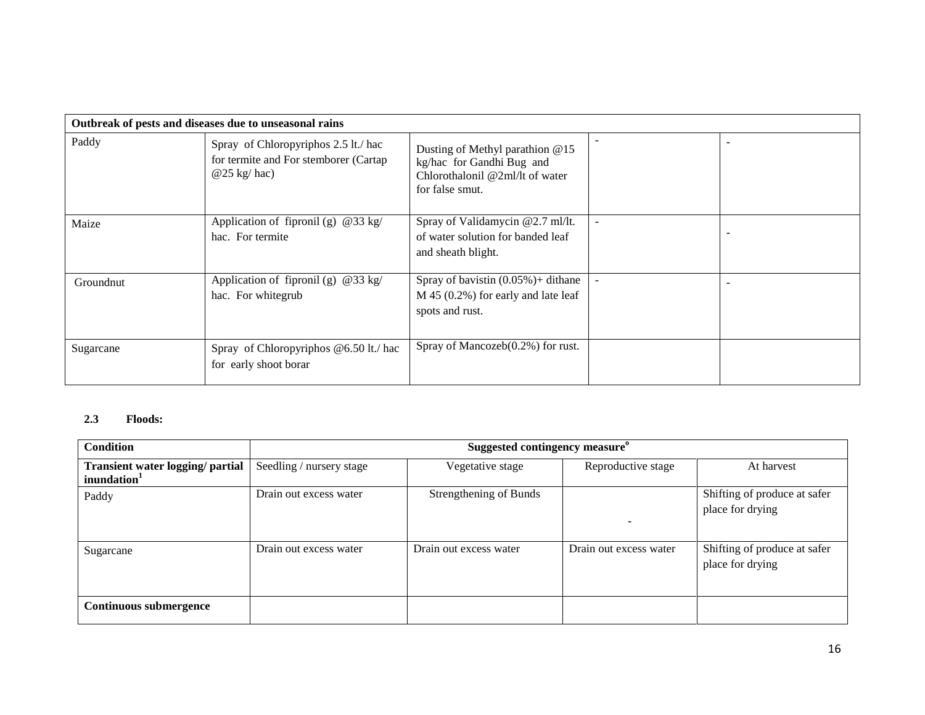|           | Outbreak of pests and diseases due to unseasonal rains                                         |                                                                                                                      |  |  |  |
|-----------|------------------------------------------------------------------------------------------------|----------------------------------------------------------------------------------------------------------------------|--|--|--|
| Paddy     | Spray of Chloropyriphos 2.5 lt./ hac<br>for termite and For stemborer (Cartap<br>$@25$ kg/hac) | Dusting of Methyl parathion @15<br>kg/hac for Gandhi Bug and<br>Chlorothalonil $@2m1/lt$ of water<br>for false smut. |  |  |  |
| Maize     | Application of fipronil (g) $@33 \text{ kg}/$<br>hac. For termite                              | Spray of Validamycin @2.7 ml/lt.<br>of water solution for banded leaf<br>and sheath blight.                          |  |  |  |
| Groundnut | Application of fipronil (g) $@33 \text{ kg}/$<br>hac. For whitegrub                            | Spray of bavistin $(0.05\%)$ + dithane<br>$M$ 45 (0.2%) for early and late leaf<br>spots and rust.                   |  |  |  |
| Sugarcane | Spray of Chloropyriphos @6.50 lt./ hac<br>for early shoot borar                                | Spray of Mancozeb $(0.2\%)$ for rust.                                                                                |  |  |  |

#### **2.3 Floods:**

| <b>Condition</b>                                            | Suggested contingency measure <sup>o</sup> |                        |                        |                                                  |
|-------------------------------------------------------------|--------------------------------------------|------------------------|------------------------|--------------------------------------------------|
| Transient water logging/ partial<br>inundation <sup>1</sup> | Seedling / nursery stage                   | Vegetative stage       | Reproductive stage     | At harvest                                       |
| Paddy                                                       | Drain out excess water                     | Strengthening of Bunds |                        | Shifting of produce at safer<br>place for drying |
| Sugarcane                                                   | Drain out excess water                     | Drain out excess water | Drain out excess water | Shifting of produce at safer<br>place for drying |
| <b>Continuous submergence</b>                               |                                            |                        |                        |                                                  |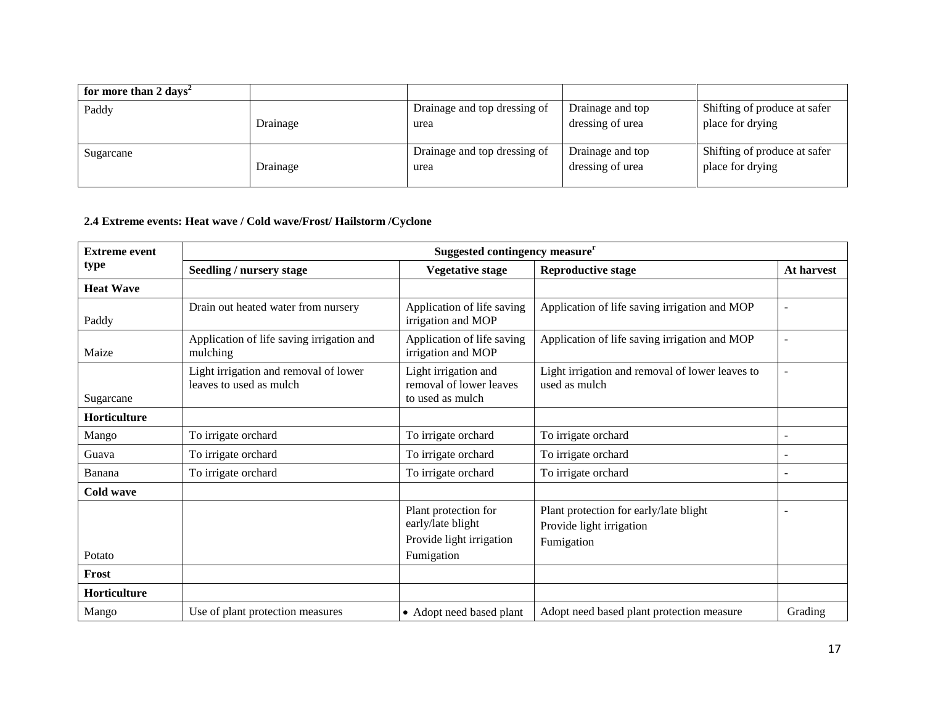| for more than 2 days <sup>2</sup> |          |                              |                  |                              |
|-----------------------------------|----------|------------------------------|------------------|------------------------------|
| Paddy                             |          | Drainage and top dressing of | Drainage and top | Shifting of produce at safer |
|                                   | Drainage | urea                         | dressing of urea | place for drying             |
|                                   |          |                              |                  |                              |
| Sugarcane                         |          | Drainage and top dressing of | Drainage and top | Shifting of produce at safer |
|                                   | Drainage | urea                         | dressing of urea | place for drying             |
|                                   |          |                              |                  |                              |

## **2.4 Extreme events: Heat wave / Cold wave/Frost/ Hailstorm /Cyclone**

| <b>Extreme event</b> | Suggested contingency measure <sup>r</sup>                       |                                                                       |                                                                                  |            |  |
|----------------------|------------------------------------------------------------------|-----------------------------------------------------------------------|----------------------------------------------------------------------------------|------------|--|
| type                 | Seedling / nursery stage                                         | <b>Vegetative stage</b>                                               | <b>Reproductive stage</b>                                                        | At harvest |  |
| <b>Heat Wave</b>     |                                                                  |                                                                       |                                                                                  |            |  |
| Paddy                | Drain out heated water from nursery                              | Application of life saving<br>irrigation and MOP                      | Application of life saving irrigation and MOP                                    |            |  |
| Maize                | Application of life saving irrigation and<br>mulching            | Application of life saving<br>irrigation and MOP                      | Application of life saving irrigation and MOP                                    |            |  |
| Sugarcane            | Light irrigation and removal of lower<br>leaves to used as mulch | Light irrigation and<br>removal of lower leaves<br>to used as mulch   | Light irrigation and removal of lower leaves to<br>used as mulch                 |            |  |
| Horticulture         |                                                                  |                                                                       |                                                                                  |            |  |
| Mango                | To irrigate orchard                                              | To irrigate orchard                                                   | To irrigate orchard                                                              |            |  |
| Guava                | To irrigate orchard                                              | To irrigate orchard                                                   | To irrigate orchard                                                              |            |  |
| Banana               | To irrigate orchard                                              | To irrigate orchard                                                   | To irrigate orchard                                                              |            |  |
| Cold wave            |                                                                  |                                                                       |                                                                                  |            |  |
|                      |                                                                  | Plant protection for<br>early/late blight<br>Provide light irrigation | Plant protection for early/late blight<br>Provide light irrigation<br>Fumigation |            |  |
| Potato               |                                                                  | Fumigation                                                            |                                                                                  |            |  |
| Frost                |                                                                  |                                                                       |                                                                                  |            |  |
| Horticulture         |                                                                  |                                                                       |                                                                                  |            |  |
| Mango                | Use of plant protection measures                                 | • Adopt need based plant                                              | Adopt need based plant protection measure                                        | Grading    |  |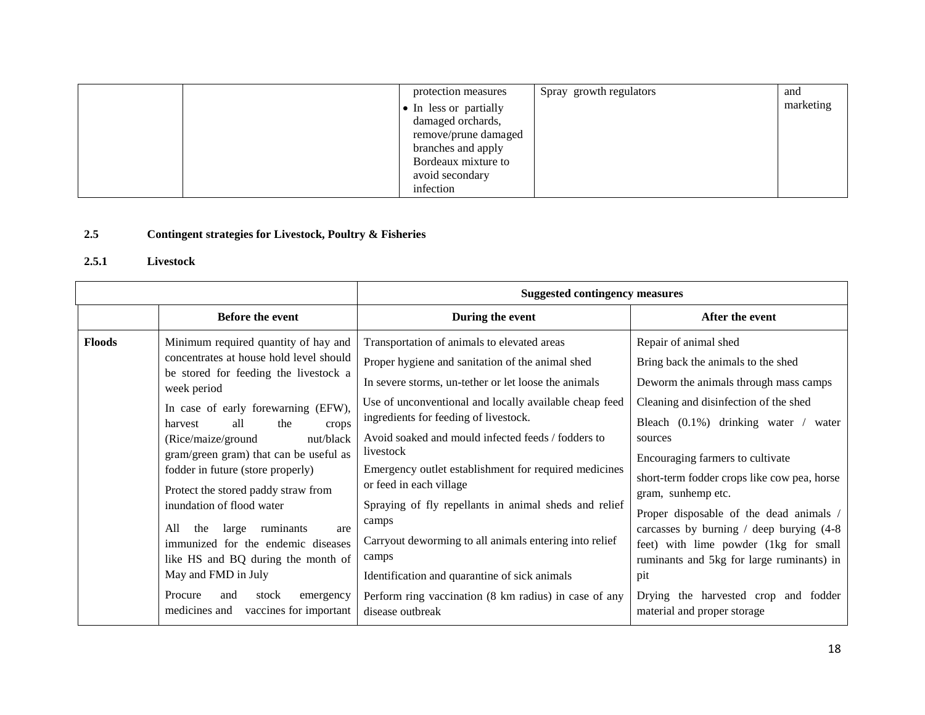|  | protection measures    | Spray growth regulators | and       |
|--|------------------------|-------------------------|-----------|
|  | • In less or partially |                         | marketing |
|  | damaged orchards,      |                         |           |
|  | remove/prune damaged   |                         |           |
|  | branches and apply     |                         |           |
|  | Bordeaux mixture to    |                         |           |
|  | avoid secondary        |                         |           |
|  | infection              |                         |           |

## **2.5 Contingent strategies for Livestock, Poultry & Fisheries**

## **2.5.1 Livestock**

|               |                                                                                                                                                                                                                                                                                                                                                                                                                                                                                                                                                                                                                                         | <b>Suggested contingency measures</b>                                                                                                                                                                                                                                                                                                                                                                                                                                                                                                                                                                                                                                                |                                                                                                                                                                                                                                                                                                                                                                                                                                                                                                                                                                              |  |
|---------------|-----------------------------------------------------------------------------------------------------------------------------------------------------------------------------------------------------------------------------------------------------------------------------------------------------------------------------------------------------------------------------------------------------------------------------------------------------------------------------------------------------------------------------------------------------------------------------------------------------------------------------------------|--------------------------------------------------------------------------------------------------------------------------------------------------------------------------------------------------------------------------------------------------------------------------------------------------------------------------------------------------------------------------------------------------------------------------------------------------------------------------------------------------------------------------------------------------------------------------------------------------------------------------------------------------------------------------------------|------------------------------------------------------------------------------------------------------------------------------------------------------------------------------------------------------------------------------------------------------------------------------------------------------------------------------------------------------------------------------------------------------------------------------------------------------------------------------------------------------------------------------------------------------------------------------|--|
|               | Before the event                                                                                                                                                                                                                                                                                                                                                                                                                                                                                                                                                                                                                        | During the event                                                                                                                                                                                                                                                                                                                                                                                                                                                                                                                                                                                                                                                                     | After the event                                                                                                                                                                                                                                                                                                                                                                                                                                                                                                                                                              |  |
| <b>Floods</b> | Minimum required quantity of hay and<br>concentrates at house hold level should<br>be stored for feeding the livestock a<br>week period<br>In case of early forewarning (EFW),<br>all<br>the<br>harvest<br>crops<br>(Rice/maize/ground<br>nut/black<br>gram/green gram) that can be useful as<br>fodder in future (store properly)<br>Protect the stored paddy straw from<br>inundation of flood water<br>All<br>ruminants<br>the<br>large<br>are<br>immunized for the endemic diseases<br>like HS and BQ during the month of<br>May and FMD in July<br>Procure<br>stock<br>and<br>emergency<br>vaccines for important<br>medicines and | Transportation of animals to elevated areas<br>Proper hygiene and sanitation of the animal shed<br>In severe storms, un-tether or let loose the animals<br>Use of unconventional and locally available cheap feed<br>ingredients for feeding of livestock.<br>Avoid soaked and mould infected feeds / fodders to<br>livestock<br>Emergency outlet establishment for required medicines<br>or feed in each village<br>Spraying of fly repellants in animal sheds and relief<br>camps<br>Carryout deworming to all animals entering into relief<br>camps<br>Identification and quarantine of sick animals<br>Perform ring vaccination (8 km radius) in case of any<br>disease outbreak | Repair of animal shed<br>Bring back the animals to the shed<br>Deworm the animals through mass camps<br>Cleaning and disinfection of the shed<br>Bleach $(0.1\%)$ drinking water / water<br>sources<br>Encouraging farmers to cultivate<br>short-term fodder crops like cow pea, horse<br>gram, sunhemp etc.<br>Proper disposable of the dead animals /<br>carcasses by burning $/$ deep burying $(4-8)$<br>feet) with lime powder (1kg for small<br>ruminants and 5kg for large ruminants) in<br>pit<br>Drying the harvested crop and fodder<br>material and proper storage |  |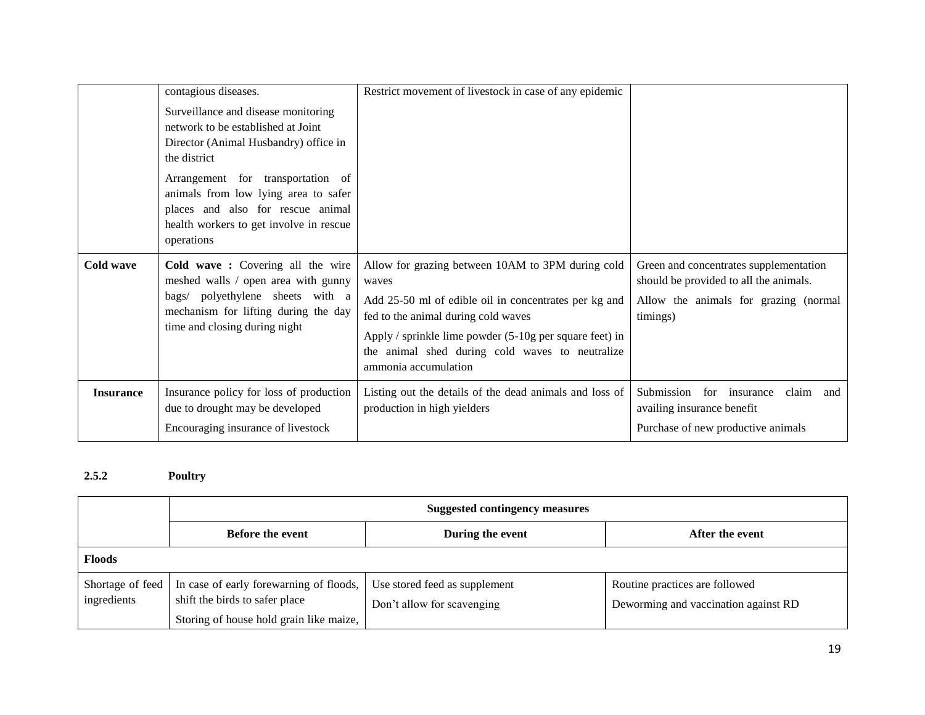|                  | contagious diseases.                                                                                                                                                                                                                                                                                          | Restrict movement of livestock in case of any epidemic                                                                                                                                                                                                                                               |                                                                                                                                       |
|------------------|---------------------------------------------------------------------------------------------------------------------------------------------------------------------------------------------------------------------------------------------------------------------------------------------------------------|------------------------------------------------------------------------------------------------------------------------------------------------------------------------------------------------------------------------------------------------------------------------------------------------------|---------------------------------------------------------------------------------------------------------------------------------------|
|                  | Surveillance and disease monitoring<br>network to be established at Joint<br>Director (Animal Husbandry) office in<br>the district<br>Arrangement for transportation of<br>animals from low lying area to safer<br>places and also for rescue animal<br>health workers to get involve in rescue<br>operations |                                                                                                                                                                                                                                                                                                      |                                                                                                                                       |
| Cold wave        | Cold wave: Covering all the wire<br>meshed walls / open area with gunny<br>bags/ polyethylene sheets with a<br>mechanism for lifting during the day<br>time and closing during night                                                                                                                          | Allow for grazing between 10AM to 3PM during cold<br>waves<br>Add 25-50 ml of edible oil in concentrates per kg and<br>fed to the animal during cold waves<br>Apply / sprinkle lime powder $(5-10)$ g per square feet) in<br>the animal shed during cold waves to neutralize<br>ammonia accumulation | Green and concentrates supplementation<br>should be provided to all the animals.<br>Allow the animals for grazing (normal<br>timings) |
| <b>Insurance</b> | Insurance policy for loss of production<br>due to drought may be developed<br>Encouraging insurance of livestock                                                                                                                                                                                              | Listing out the details of the dead animals and loss of<br>production in high yielders                                                                                                                                                                                                               | Submission for insurance<br>claim<br>and<br>availing insurance benefit<br>Purchase of new productive animals                          |

## **2.5.2 Poultry**

|               | <b>Suggested contingency measures</b>                                                                                                   |                                                             |                                                                        |  |
|---------------|-----------------------------------------------------------------------------------------------------------------------------------------|-------------------------------------------------------------|------------------------------------------------------------------------|--|
|               | <b>Before the event</b>                                                                                                                 | During the event                                            | After the event                                                        |  |
| <b>Floods</b> |                                                                                                                                         |                                                             |                                                                        |  |
| ingredients   | Shortage of feed   In case of early forewarning of floods,<br>shift the birds to safer place<br>Storing of house hold grain like maize, | Use stored feed as supplement<br>Don't allow for scavenging | Routine practices are followed<br>Deworming and vaccination against RD |  |